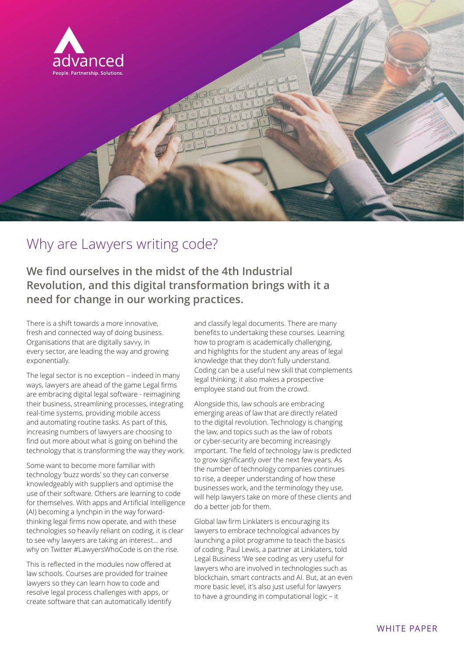

## Why are Lawyers writing code?

**We find ourselves in the midst of the 4th Industrial Revolution, and this digital transformation brings with it a need for change in our working practices.** 

There is a shift towards a more innovative, fresh and connected way of doing business. Organisations that are digitally savvy, in every sector, are leading the way and growing exponentially.

The legal sector is no exception – indeed in many ways, lawyers are ahead of the game Legal firms are embracing digital legal software - reimagining their business, streamlining processes, integrating real-time systems, providing mobile access and automating routine tasks. As part of this, increasing numbers of lawyers are choosing to find out more about what is going on behind the technology that is transforming the way they work.

Some want to become more familiar with technology 'buzz words' so they can converse knowledgeably with suppliers and optimise the use of their software. Others are learning to code for themselves. With apps and Artificial Intelligence (AI) becoming a lynchpin in the way forwardthinking legal firms now operate, and with these technologies so heavily reliant on coding, it is clear to see why lawyers are taking an interest… and why on Twitter #LawyersWhoCode is on the rise.

This is reflected in the modules now offered at law schools. Courses are provided for trainee lawyers so they can learn how to code and resolve legal process challenges with apps, or create software that can automatically identify

and classify legal documents. There are many benefits to undertaking these courses. Learning how to program is academically challenging, and highlights for the student any areas of legal knowledge that they don't fully understand. Coding can be a useful new skill that complements legal thinking; it also makes a prospective employee stand out from the crowd.

Alongside this, law schools are embracing emerging areas of law that are directly related to the digital revolution. Technology is changing the law, and topics such as the law of robots or cyber-security are becoming increasingly important. The field of technology law is predicted to grow significantly over the next few years. As the number of technology companies continues to rise, a deeper understanding of how these businesses work, and the terminology they use, will help lawyers take on more of these clients and do a better job for them.

Global law firm Linklaters is encouraging its lawyers to embrace technological advances by launching a pilot programme to teach the basics of coding. Paul Lewis, a partner at Linklaters, told Legal Business 'We see coding as very useful for lawyers who are involved in technologies such as blockchain, smart contracts and AI. But, at an even more basic level, it's also just useful for lawyers to have a grounding in computational logic – it